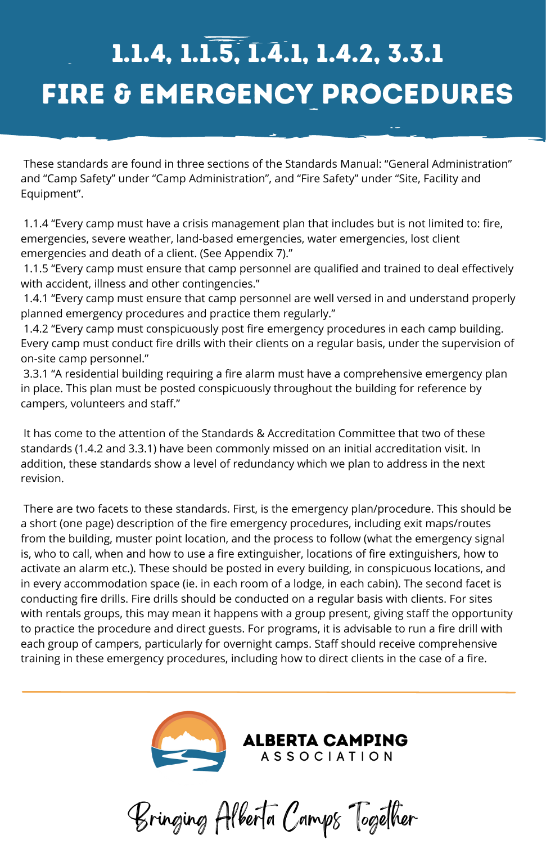Bringing Alberta Camps Together

. These standards are found in three sections of the Standards Manual: "General Administration" and "Camp Safety" under "Camp Administration", and "Fire Safety" under "Site, Facility and Equipment".

1.1.4 "Every camp must have a crisis management plan that includes but is not limited to: fire, emergencies, severe weather, land-based emergencies, water emergencies, lost client emergencies and death of a client. (See Appendix 7)."

1.1.5 "Every camp must ensure that camp personnel are qualified and trained to deal effectively with accident, illness and other contingencies."

1.4.1 "Every camp must ensure that camp personnel are well versed in and understand properly planned emergency procedures and practice them regularly."

1.4.2 "Every camp must conspicuously post fire emergency procedures in each camp building. Every camp must conduct fire drills with their clients on a regular basis, under the supervision of on-site camp personnel."

3.3.1 "A residential building requiring a fire alarm must have a comprehensive emergency plan in place. This plan must be posted conspicuously throughout the building for reference by campers, volunteers and staff."

## FIRE & EMERGENCY PROCEDURES 1.1.4, 1.1.5, 1.4.1, 1.4.2, 3.3.1

It has come to the attention of the Standards & Accreditation Committee that two of these standards (1.4.2 and 3.3.1) have been commonly missed on an initial accreditation visit. In addition, these standards show a level of redundancy which we plan to address in the next revision.

There are two facets to these standards. First, is the emergency plan/procedure. This should be a short (one page) description of the fire emergency procedures, including exit maps/routes from the building, muster point location, and the process to follow (what the emergency signal is, who to call, when and how to use a fire extinguisher, locations of fire extinguishers, how to activate an alarm etc.). These should be posted in every building, in conspicuous locations, and in every accommodation space (ie. in each room of a lodge, in each cabin). The second facet is conducting fire drills. Fire drills should be conducted on a regular basis with clients. For sites with rentals groups, this may mean it happens with a group present, giving staff the opportunity to practice the procedure and direct guests. For programs, it is advisable to run a fire drill with each group of campers, particularly for overnight camps. Staff should receive comprehensive training in these emergency procedures, including how to direct clients in the case of a fire.